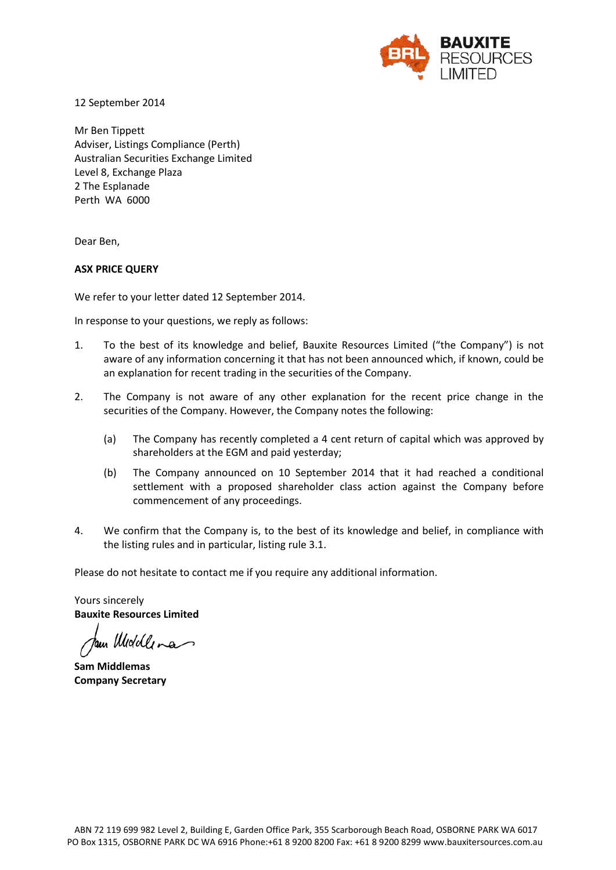

12 September 2014

Mr Ben Tippett Adviser, Listings Compliance (Perth) Australian Securities Exchange Limited Level 8, Exchange Plaza 2 The Esplanade Perth WA 6000

Dear Ben,

#### **ASX PRICE QUERY**

We refer to your letter dated 12 September 2014.

In response to your questions, we reply as follows:

- 1. To the best of its knowledge and belief, Bauxite Resources Limited ("the Company") is not aware of any information concerning it that has not been announced which, if known, could be an explanation for recent trading in the securities of the Company.
- 2. The Company is not aware of any other explanation for the recent price change in the securities of the Company. However, the Company notes the following:
	- (a) The Company has recently completed a 4 cent return of capital which was approved by shareholders at the EGM and paid yesterday;
	- (b) The Company announced on 10 September 2014 that it had reached a conditional settlement with a proposed shareholder class action against the Company before commencement of any proceedings.
- 4. We confirm that the Company is, to the best of its knowledge and belief, in compliance with the listing rules and in particular, listing rule 3.1.

Please do not hesitate to contact me if you require any additional information.

Yours sincerely **Bauxite Resources Limited** 

tam Woodlena

**Sam Middlemas Company Secretary**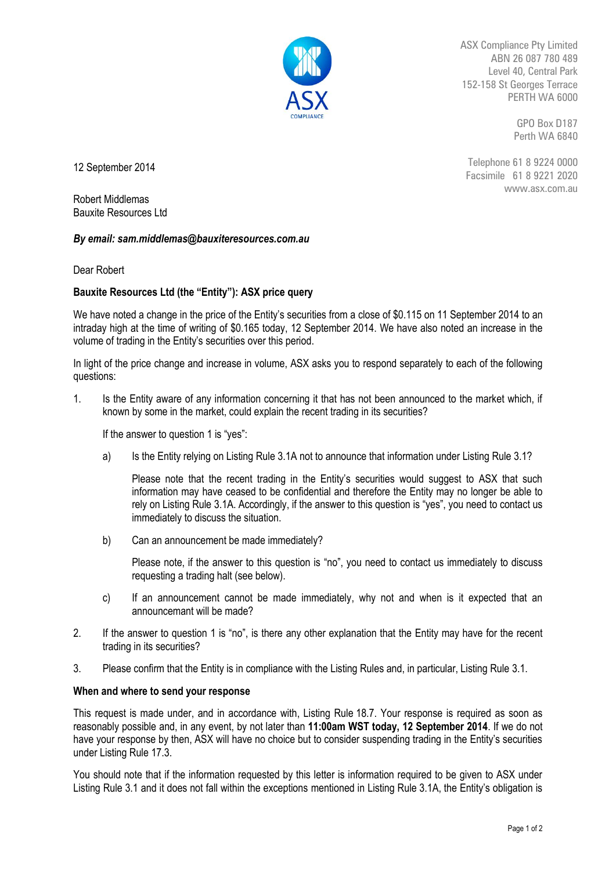

ASX Compliance Pty Limited ABN 26 087 780 489 Level 40, Central Park 152-158 St Georges Terrace PERTH WA 6000

> GPO Box D187 Perth WA 6840

12 September 2014

Telephone 61 8 9224 0000 Facsimile 61 8 9221 2020 www.asx.com.au

Robert Middlemas Bauxite Resources Ltd

## *By email: sam.middlemas@bauxiteresources.com.au*

Dear Robert

# **Bauxite Resources Ltd (the "Entity"): ASX price query**

We have noted a change in the price of the Entity's securities from a close of \$0.115 on 11 September 2014 to an intraday high at the time of writing of \$0.165 today, 12 September 2014. We have also noted an increase in the volume of trading in the Entity's securities over this period.

In light of the price change and increase in volume, ASX asks you to respond separately to each of the following questions:

1. Is the Entity aware of any information concerning it that has not been announced to the market which, if known by some in the market, could explain the recent trading in its securities?

If the answer to question 1 is "yes":

a) Is the Entity relying on Listing Rule 3.1A not to announce that information under Listing Rule 3.1?

Please note that the recent trading in the Entity's securities would suggest to ASX that such information may have ceased to be confidential and therefore the Entity may no longer be able to rely on Listing Rule 3.1A. Accordingly, if the answer to this question is "yes", you need to contact us immediately to discuss the situation.

b) Can an announcement be made immediately?

Please note, if the answer to this question is "no", you need to contact us immediately to discuss requesting a trading halt (see below).

- c) If an announcement cannot be made immediately, why not and when is it expected that an announcemant will be made?
- 2. If the answer to question 1 is "no", is there any other explanation that the Entity may have for the recent trading in its securities?
- 3. Please confirm that the Entity is in compliance with the Listing Rules and, in particular, Listing Rule 3.1.

## **When and where to send your response**

This request is made under, and in accordance with, Listing Rule 18.7. Your response is required as soon as reasonably possible and, in any event, by not later than **11:00am WST today, 12 September 2014**. If we do not have your response by then, ASX will have no choice but to consider suspending trading in the Entity's securities under Listing Rule 17.3.

You should note that if the information requested by this letter is information required to be given to ASX under Listing Rule 3.1 and it does not fall within the exceptions mentioned in Listing Rule 3.1A, the Entity's obligation is